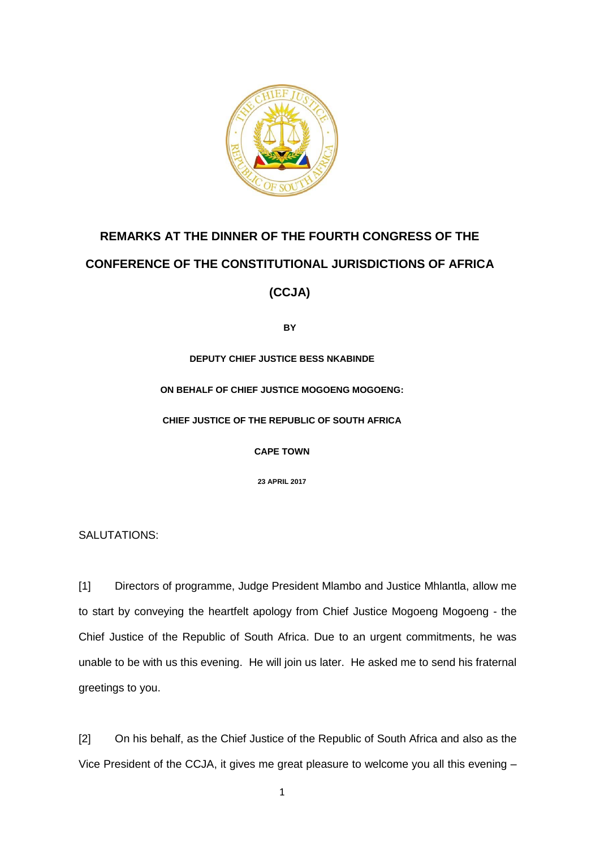

## **REMARKS AT THE DINNER OF THE FOURTH CONGRESS OF THE CONFERENCE OF THE CONSTITUTIONAL JURISDICTIONS OF AFRICA**

**BY** 

**(CCJA)**

**DEPUTY CHIEF JUSTICE BESS NKABINDE**

**ON BEHALF OF CHIEF JUSTICE MOGOENG MOGOENG:**

**CHIEF JUSTICE OF THE REPUBLIC OF SOUTH AFRICA**

**CAPE TOWN**

**23 APRIL 2017**

SALUTATIONS:

[1] Directors of programme, Judge President Mlambo and Justice Mhlantla, allow me to start by conveying the heartfelt apology from Chief Justice Mogoeng Mogoeng - the Chief Justice of the Republic of South Africa. Due to an urgent commitments, he was unable to be with us this evening. He will join us later. He asked me to send his fraternal greetings to you.

[2] On his behalf, as the Chief Justice of the Republic of South Africa and also as the Vice President of the CCJA, it gives me great pleasure to welcome you all this evening –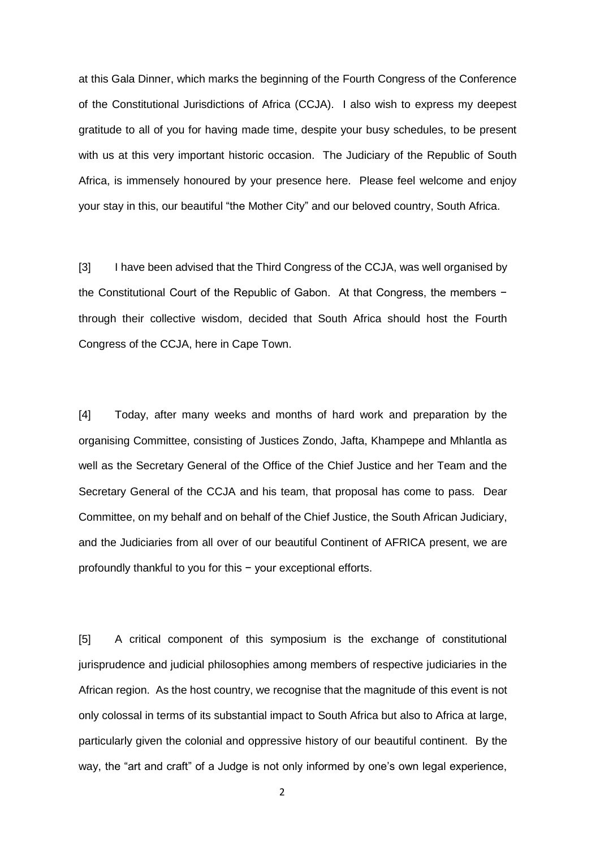at this Gala Dinner, which marks the beginning of the Fourth Congress of the Conference of the Constitutional Jurisdictions of Africa (CCJA). I also wish to express my deepest gratitude to all of you for having made time, despite your busy schedules, to be present with us at this very important historic occasion. The Judiciary of the Republic of South Africa, is immensely honoured by your presence here. Please feel welcome and enjoy your stay in this, our beautiful "the Mother City" and our beloved country, South Africa.

[3] I have been advised that the Third Congress of the CCJA, was well organised by the Constitutional Court of the Republic of Gabon. At that Congress, the members − through their collective wisdom, decided that South Africa should host the Fourth Congress of the CCJA, here in Cape Town.

[4] Today, after many weeks and months of hard work and preparation by the organising Committee, consisting of Justices Zondo, Jafta, Khampepe and Mhlantla as well as the Secretary General of the Office of the Chief Justice and her Team and the Secretary General of the CCJA and his team, that proposal has come to pass. Dear Committee, on my behalf and on behalf of the Chief Justice, the South African Judiciary, and the Judiciaries from all over of our beautiful Continent of AFRICA present, we are profoundly thankful to you for this − your exceptional efforts.

[5] A critical component of this symposium is the exchange of constitutional jurisprudence and judicial philosophies among members of respective judiciaries in the African region. As the host country, we recognise that the magnitude of this event is not only colossal in terms of its substantial impact to South Africa but also to Africa at large, particularly given the colonial and oppressive history of our beautiful continent. By the way, the "art and craft" of a Judge is not only informed by one's own legal experience,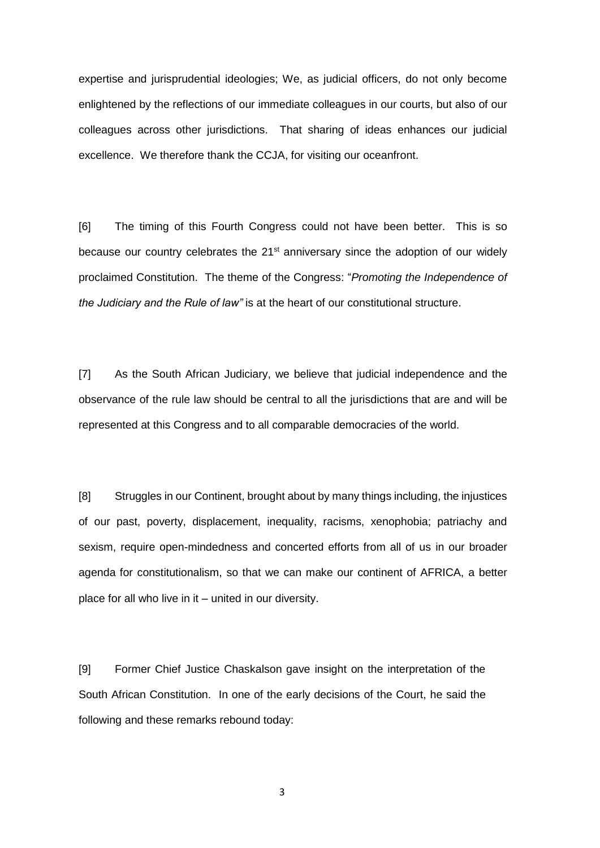expertise and jurisprudential ideologies; We, as judicial officers, do not only become enlightened by the reflections of our immediate colleagues in our courts, but also of our colleagues across other jurisdictions. That sharing of ideas enhances our judicial excellence. We therefore thank the CCJA, for visiting our oceanfront.

[6] The timing of this Fourth Congress could not have been better. This is so because our country celebrates the 21<sup>st</sup> anniversary since the adoption of our widely proclaimed Constitution. The theme of the Congress: "*Promoting the Independence of the Judiciary and the Rule of law"* is at the heart of our constitutional structure.

[7] As the South African Judiciary, we believe that judicial independence and the observance of the rule law should be central to all the jurisdictions that are and will be represented at this Congress and to all comparable democracies of the world.

[8] Struggles in our Continent, brought about by many things including, the injustices of our past, poverty, displacement, inequality, racisms, xenophobia; patriachy and sexism, require open-mindedness and concerted efforts from all of us in our broader agenda for constitutionalism, so that we can make our continent of AFRICA, a better place for all who live in it – united in our diversity.

[9] Former Chief Justice Chaskalson gave insight on the interpretation of the South African Constitution. In one of the early decisions of the Court, he said the following and these remarks rebound today: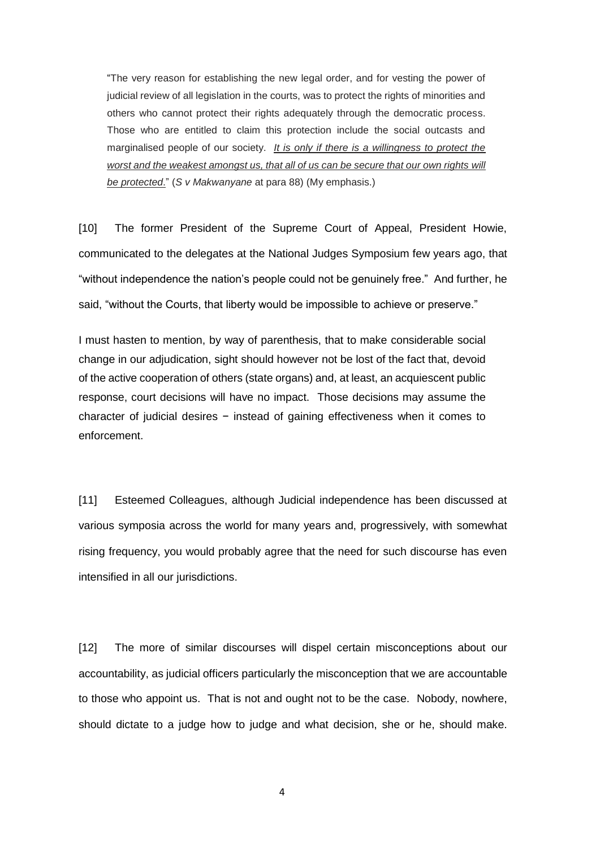"The very reason for establishing the new legal order, and for vesting the power of judicial review of all legislation in the courts, was to protect the rights of minorities and others who cannot protect their rights adequately through the democratic process. Those who are entitled to claim this protection include the social outcasts and marginalised people of our society. *It is only if there is a willingness to protect the worst and the weakest amongst us, that all of us can be secure that our own rights will be protected*." (*S v Makwanyane* at para 88) (My emphasis.)

[10] The former President of the Supreme Court of Appeal, President Howie, communicated to the delegates at the National Judges Symposium few years ago, that "without independence the nation's people could not be genuinely free." And further, he said, "without the Courts, that liberty would be impossible to achieve or preserve."

I must hasten to mention, by way of parenthesis, that to make considerable social change in our adjudication, sight should however not be lost of the fact that, devoid of the active cooperation of others (state organs) and, at least, an acquiescent public response, court decisions will have no impact. Those decisions may assume the character of judicial desires − instead of gaining effectiveness when it comes to enforcement.

[11] Esteemed Colleagues, although Judicial independence has been discussed at various symposia across the world for many years and, progressively, with somewhat rising frequency, you would probably agree that the need for such discourse has even intensified in all our jurisdictions.

[12] The more of similar discourses will dispel certain misconceptions about our accountability, as judicial officers particularly the misconception that we are accountable to those who appoint us. That is not and ought not to be the case. Nobody, nowhere, should dictate to a judge how to judge and what decision, she or he, should make.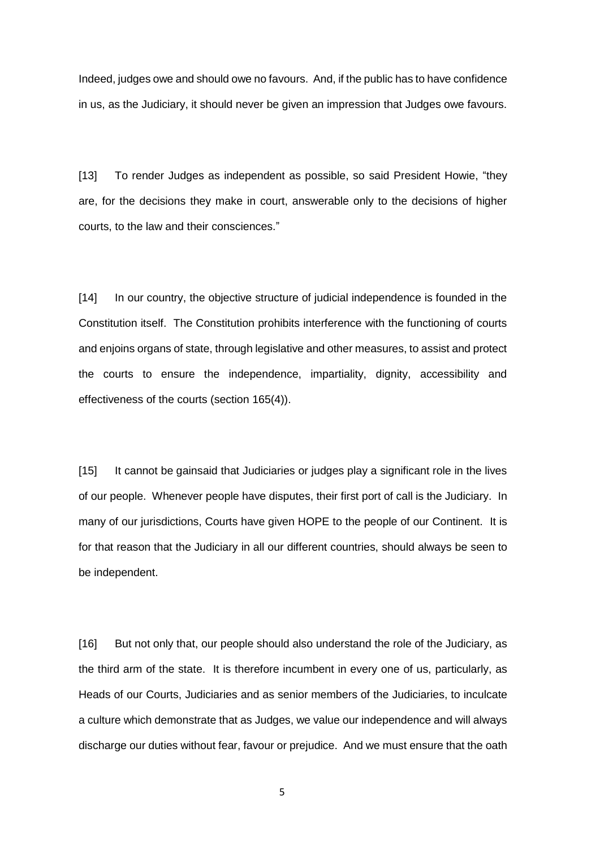Indeed, judges owe and should owe no favours. And, if the public has to have confidence in us, as the Judiciary, it should never be given an impression that Judges owe favours.

[13] To render Judges as independent as possible, so said President Howie, "they are, for the decisions they make in court, answerable only to the decisions of higher courts, to the law and their consciences."

[14] In our country, the objective structure of judicial independence is founded in the Constitution itself. The Constitution prohibits interference with the functioning of courts and enjoins organs of state, through legislative and other measures, to assist and protect the courts to ensure the independence, impartiality, dignity, accessibility and effectiveness of the courts (section 165(4)).

[15] It cannot be gainsaid that Judiciaries or judges play a significant role in the lives of our people. Whenever people have disputes, their first port of call is the Judiciary. In many of our jurisdictions, Courts have given HOPE to the people of our Continent. It is for that reason that the Judiciary in all our different countries, should always be seen to be independent.

[16] But not only that, our people should also understand the role of the Judiciary, as the third arm of the state. It is therefore incumbent in every one of us, particularly, as Heads of our Courts, Judiciaries and as senior members of the Judiciaries, to inculcate a culture which demonstrate that as Judges, we value our independence and will always discharge our duties without fear, favour or prejudice. And we must ensure that the oath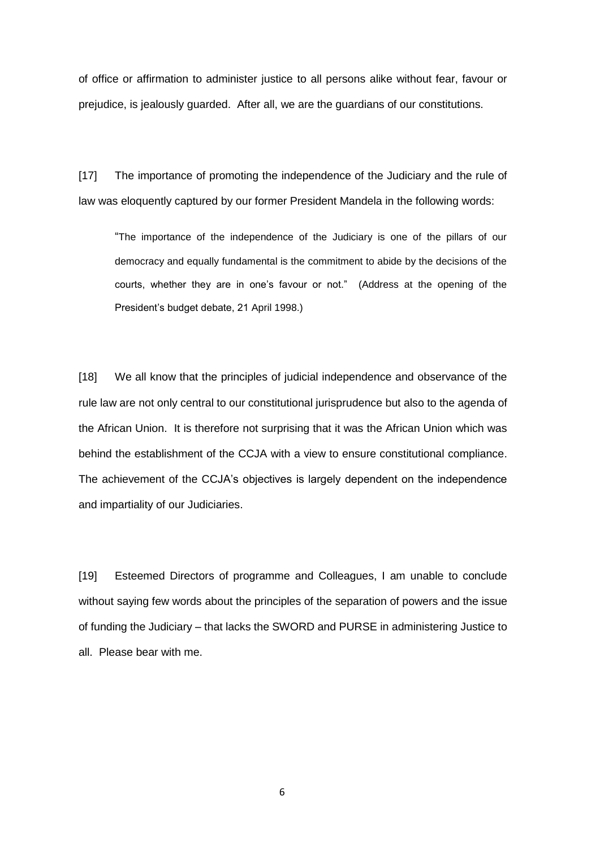of office or affirmation to administer justice to all persons alike without fear, favour or prejudice, is jealously guarded. After all, we are the guardians of our constitutions.

[17] The importance of promoting the independence of the Judiciary and the rule of law was eloquently captured by our former President Mandela in the following words:

"The importance of the independence of the Judiciary is one of the pillars of our democracy and equally fundamental is the commitment to abide by the decisions of the courts, whether they are in one's favour or not." (Address at the opening of the President's budget debate, 21 April 1998.)

[18] We all know that the principles of judicial independence and observance of the rule law are not only central to our constitutional jurisprudence but also to the agenda of the African Union. It is therefore not surprising that it was the African Union which was behind the establishment of the CCJA with a view to ensure constitutional compliance. The achievement of the CCJA's objectives is largely dependent on the independence and impartiality of our Judiciaries.

[19] Esteemed Directors of programme and Colleagues, I am unable to conclude without saying few words about the principles of the separation of powers and the issue of funding the Judiciary – that lacks the SWORD and PURSE in administering Justice to all. Please bear with me.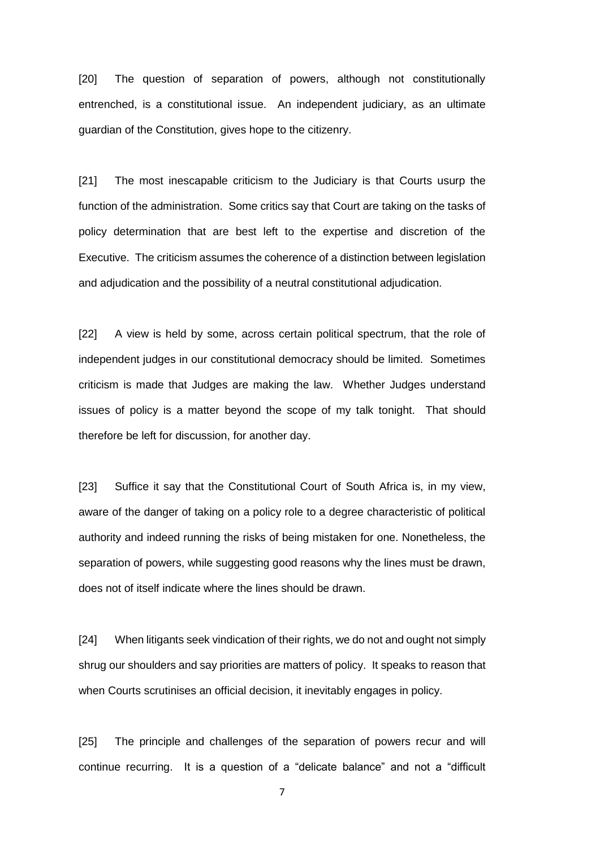[20] The question of separation of powers, although not constitutionally entrenched, is a constitutional issue. An independent judiciary, as an ultimate guardian of the Constitution, gives hope to the citizenry.

[21] The most inescapable criticism to the Judiciary is that Courts usurp the function of the administration. Some critics say that Court are taking on the tasks of policy determination that are best left to the expertise and discretion of the Executive. The criticism assumes the coherence of a distinction between legislation and adjudication and the possibility of a neutral constitutional adjudication.

[22] A view is held by some, across certain political spectrum, that the role of independent judges in our constitutional democracy should be limited. Sometimes criticism is made that Judges are making the law. Whether Judges understand issues of policy is a matter beyond the scope of my talk tonight. That should therefore be left for discussion, for another day.

[23] Suffice it say that the Constitutional Court of South Africa is, in my view, aware of the danger of taking on a policy role to a degree characteristic of political authority and indeed running the risks of being mistaken for one. Nonetheless, the separation of powers, while suggesting good reasons why the lines must be drawn, does not of itself indicate where the lines should be drawn.

[24] When litigants seek vindication of their rights, we do not and ought not simply shrug our shoulders and say priorities are matters of policy. It speaks to reason that when Courts scrutinises an official decision, it inevitably engages in policy.

[25] The principle and challenges of the separation of powers recur and will continue recurring. It is a question of a "delicate balance" and not a "difficult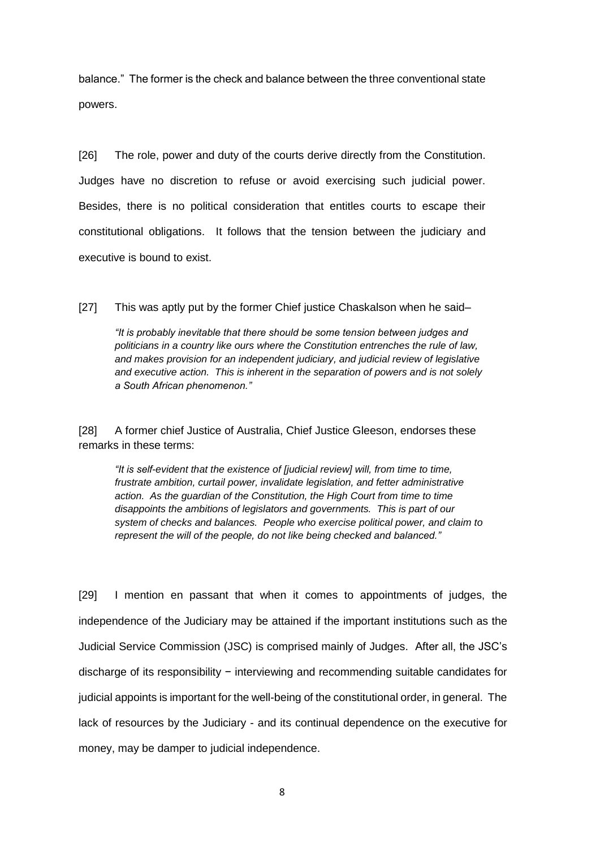balance." The former is the check and balance between the three conventional state powers.

[26] The role, power and duty of the courts derive directly from the Constitution. Judges have no discretion to refuse or avoid exercising such judicial power. Besides, there is no political consideration that entitles courts to escape their constitutional obligations. It follows that the tension between the judiciary and executive is bound to exist.

[27] This was aptly put by the former Chief justice Chaskalson when he said–

*"It is probably inevitable that there should be some tension between judges and politicians in a country like ours where the Constitution entrenches the rule of law, and makes provision for an independent judiciary, and judicial review of legislative and executive action. This is inherent in the separation of powers and is not solely a South African phenomenon."*

[28] A former chief Justice of Australia, Chief Justice Gleeson, endorses these remarks in these terms:

*"It is self-evident that the existence of [judicial review] will, from time to time, frustrate ambition, curtail power, invalidate legislation, and fetter administrative action. As the guardian of the Constitution, the High Court from time to time disappoints the ambitions of legislators and governments. This is part of our system of checks and balances. People who exercise political power, and claim to represent the will of the people, do not like being checked and balanced."*

[29] I mention en passant that when it comes to appointments of judges, the independence of the Judiciary may be attained if the important institutions such as the Judicial Service Commission (JSC) is comprised mainly of Judges. After all, the JSC's discharge of its responsibility − interviewing and recommending suitable candidates for judicial appoints is important for the well-being of the constitutional order, in general. The lack of resources by the Judiciary - and its continual dependence on the executive for money, may be damper to judicial independence.